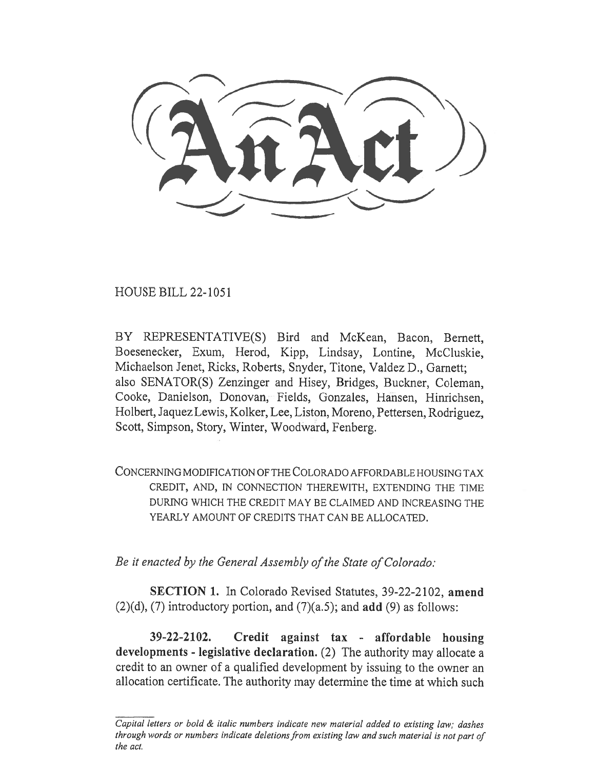HOUSE BILL 22-1051

BY REPRESENTATIVE(S) Bird and McKean, Bacon, Bernett, Boesenecker, Exum, Herod, Kipp, Lindsay, Lontine, McCluskie, Michaelson Jenet, Ricks, Roberts, Snyder, Titone, Valdez D., Garnett; also SENATOR(S) Zenzinger and Hisey, Bridges, Buckner, Coleman, Cooke, Danielson, Donovan, Fields, Gonzales, Hansen, Hinrichsen, Holbert, Jaquez Lewis, Kolker, Lee, Liston, Moreno, Pettersen, Rodriguez, Scott, Simpson, Story, Winter, Woodward, Fenberg.

CONCERNING MODIFICATION OF THE COLORADO AFFORDABLE HOUSING TAX CREDIT, AND, IN CONNECTION THEREWITH, EXTENDING THE TIME DURING WHICH THE CREDIT MAY BE CLAIMED AND INCREASING THE YEARLY AMOUNT OF CREDITS THAT CAN BE ALLOCATED.

Be it enacted by the General Assembly of the State of Colorado:

SECTION 1. In Colorado Revised Statutes, 39-22-2102, amend  $(2)(d)$ ,  $(7)$  introductory portion, and  $(7)(a.5)$ ; and add  $(9)$  as follows:

39-22-2102. Credit against tax - affordable housing developments - legislative declaration. (2) The authority may allocate a credit to an owner of a qualified development by issuing to the owner an allocation certificate. The authority may determine the time at which such

Capital letters or bold & italic numbers indicate new material added to existing law; dashes through words or numbers indicate deletions from existing law and such material is not part of the act.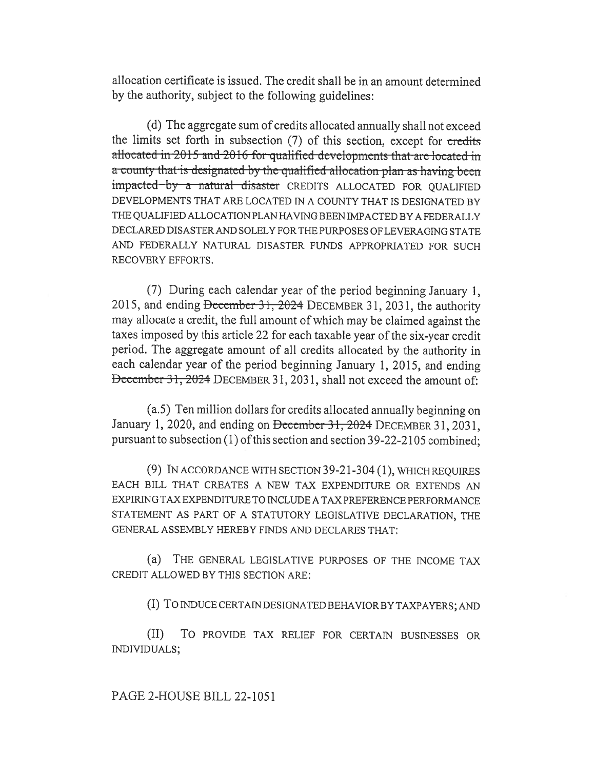allocation certificate is issued. The credit shall be in an amount determined by the authority, subject to the following guidelines:

(d) The aggregate sum of credits allocated annually shall not exceed the limits set forth in subsection (7) of this section, except for credits allocated in 2015 and 2016 for qualified developments that are located in a county that is designated by the qualified allocation plan as having been impacted by a natural disaster CREDITS ALLOCATED FOR QUALIFIED DEVELOPMENTS THAT ARE LOCATED IN A COUNTY THAT IS DESIGNATED BY THE QUALIFIED ALLOCATION PLAN HAVING BEEN IMPACTED BY A FEDERALLY DECLARED DISASTER AND SOLELY FOR THE PURPOSES OF LEVERAGING STATE AND FEDERALLY NATURAL DISASTER FUNDS APPROPRIATED FOR SUCH RECOVERY EFFORTS.

(7) During each calendar year of the period beginning January 1, 2015, and ending December 31, 2024 DECEMBER 31, 2031, the authority may allocate a credit, the full amount of which may be claimed against the taxes imposed by this article 22 for each taxable year of the six-year credit period. The aggregate amount of all credits allocated by the authority in each calendar year of the period beginning January 1, 2015, and ending December 31, 2024 DECEMBER 31, 2031, shall not exceed the amount of:

(a.5) Ten million dollars for credits allocated annually beginning on January 1, 2020, and ending on December 31, 2024 DECEMBER 31, 2031, pursuant to subsection (1) of this section and section 39-22-2105 combined;

(9) IN ACCORDANCE WITH SECTION 39-21-304 (1), WHICH REQUIRES EACH BILL THAT CREATES A NEW TAX EXPENDITURE OR EXTENDS AN EXPIRING TAX EXPENDITURE TO INCLUDE A TAX PREFERENCE PERFORMANCE STATEMENT AS PART OF A STATUTORY LEGISLATIVE DECLARATION, THE GENERAL ASSEMBLY HEREBY FINDS AND DECLARES THAT:

(a) THE GENERAL LEGISLATIVE PURPOSES OF THE INCOME TAX CREDIT ALLOWED BY THIS SECTION ARE:

(I) To INDUCE CERTAIN DESIGNATED BEHAVIOR BY TAXPAYERS; AND

(II) To PROVIDE TAX RELIEF FOR CERTAIN BUSINESSES OR INDIVIDUALS;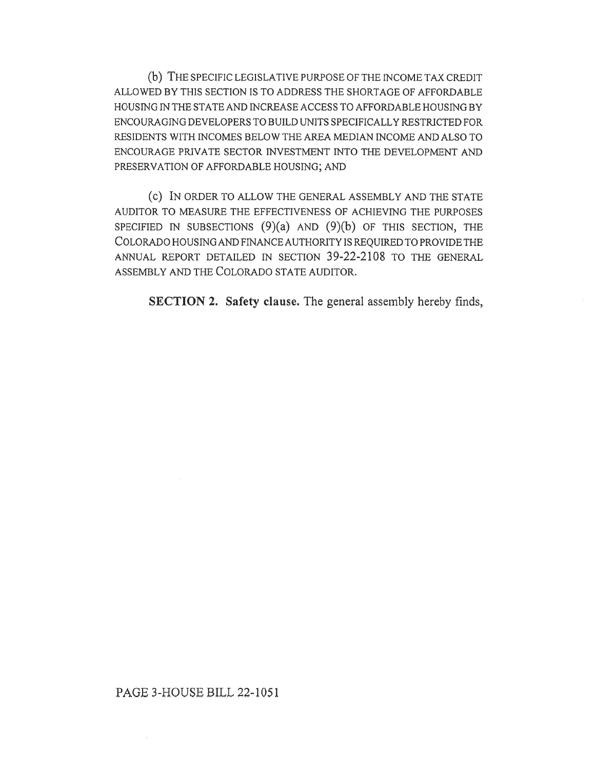(b) THE SPECIFIC LEGISLATIVE PURPOSE OF THE INCOME TAX CREDIT ALLOWED BY THIS SECTION IS TO ADDRESS THE SHORTAGE OF AFFORDABLE HOUSING IN THE STATE AND INCREASE ACCESS TO AFFORDABLE HOUSING BY ENCOURAGING DEVELOPERS TO BUILD UNITS SPECIFICALLY RESTRICTED FOR RESIDENTS WITH INCOMES BELOW THE AREA MEDIAN INCOME AND ALSO TO ENCOURAGE PRIVATE SECTOR INVESTMENT INTO THE DEVELOPMENT AND PRESERVATION OF AFFORDABLE HOUSING; AND

(c) IN ORDER TO ALLOW THE GENERAL ASSEMBLY AND THE STATE AUDITOR TO MEASURE THE EFFECTIVENESS OF ACHIEVING THE PURPOSES SPECIFIED IN SUBSECTIONS  $(9)(a)$  and  $(9)(b)$  of this section, the COLORADO HOUSING AND FINANCE AUTHORITY IS REQUIRED TO PROVIDE THE ANNUAL REPORT DETAILED IN SECTION 39-22-2108 TO THE GENERAL ASSEMBLY AND THE COLORADO STATE AUDITOR.

SECTION 2. Safety clause. The general assembly hereby finds,

## PAGE 3-HOUSE BILL 22-1051